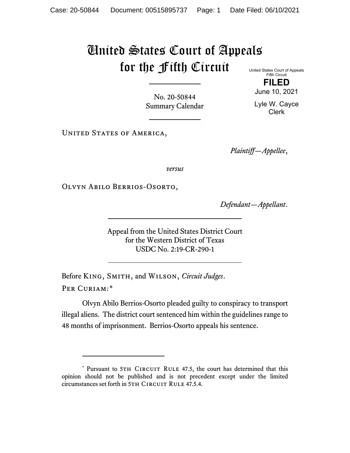## United States Court of Appeals for the Fifth Circuit United States Court of Appeals

Fifth Circuit **FILED**

No. 20-50844 Summary Calendar

Lyle W. Cayce Clerk

June 10, 2021

UNITED STATES OF AMERICA,

*Plaintiff—Appellee*,

*versus*

Olvyn Abilo Berrios-Osorto,

*Defendant—Appellant*.

Appeal from the United States District Court for the Western District of Texas USDC No. 2:19-CR-290-1

Before King, Smith, and Wilson, *Circuit Judges*. Per Curiam:[\\*](#page-0-0)

Olvyn Abilo Berrios-Osorto pleaded guilty to conspiracy to transport illegal aliens. The district court sentenced him within the guidelines range to 48 months of imprisonment. Berrios-Osorto appeals his sentence.

<span id="page-0-0"></span><sup>\*</sup> Pursuant to 5TH CIRCUIT RULE 47.5, the court has determined that this opinion should not be published and is not precedent except under the limited circumstances set forth in 5TH CIRCUIT RULE 47.5.4.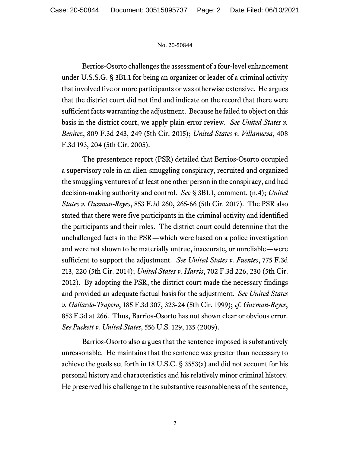## No. 20-50844

Berrios-Osorto challenges the assessment of a four-level enhancement under U.S.S.G. § 3B1.1 for being an organizer or leader of a criminal activity that involved five or more participants or was otherwise extensive. He argues that the district court did not find and indicate on the record that there were sufficient facts warranting the adjustment. Because he failed to object on this basis in the district court, we apply plain-error review. *See United States v. Benitez*, 809 F.3d 243, 249 (5th Cir. 2015); *United States v. Villanueva*, 408 F.3d 193, 204 (5th Cir. 2005).

The presentence report (PSR) detailed that Berrios-Osorto occupied a supervisory role in an alien-smuggling conspiracy, recruited and organized the smuggling ventures of at least one other person in the conspiracy, and had decision-making authority and control. *See* § 3B1.1, comment. (n.4); *United States v. Guzman-Reyes*, 853 F.3d 260, 265-66 (5th Cir. 2017). The PSR also stated that there were five participants in the criminal activity and identified the participants and their roles. The district court could determine that the unchallenged facts in the PSR—which were based on a police investigation and were not shown to be materially untrue, inaccurate, or unreliable—were sufficient to support the adjustment. *See United States v. Fuentes*, 775 F.3d 213, 220 (5th Cir. 2014); *United States v. Harris*, 702 F.3d 226, 230 (5th Cir. 2012). By adopting the PSR, the district court made the necessary findings and provided an adequate factual basis for the adjustment. *See United States v. Gallardo-Trapero*, 185 F.3d 307, 323-24 (5th Cir. 1999); *cf. Guzman-Reyes*, 853 F.3d at 266. Thus, Barrios-Osorto has not shown clear or obvious error. *See Puckett v. United States*, 556 U.S. 129, 135 (2009).

Barrios-Osorto also argues that the sentence imposed is substantively unreasonable. He maintains that the sentence was greater than necessary to achieve the goals set forth in 18 U.S.C. § 3553(a) and did not account for his personal history and characteristics and his relatively minor criminal history. He preserved his challenge to the substantive reasonableness of the sentence,